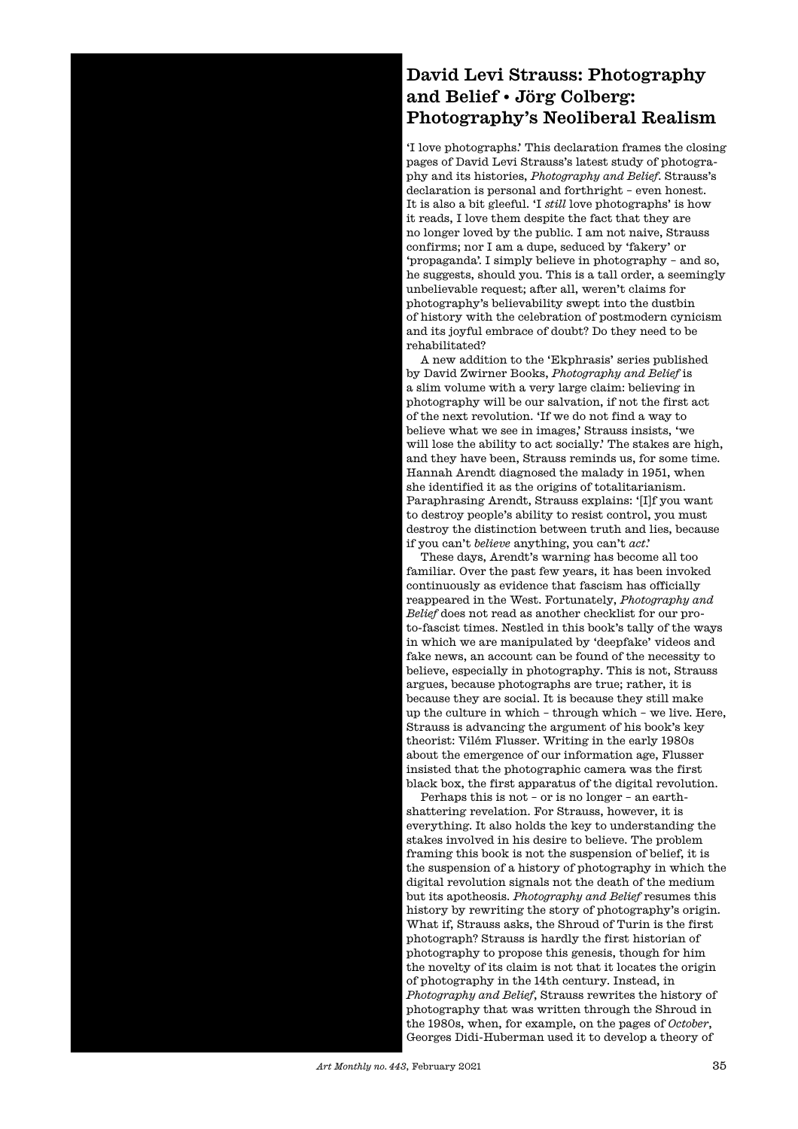## David Levi Strauss: Photography and Belief • Jörg Colberg: Photography's Neoliberal Realism

'I love photographs.' This declaration frames the closing pages of David Levi Strauss's latest study of photography and its histories, *Photography and Belief*. Strauss's declaration is personal and forthright – even honest. It is also a bit gleeful. 'I *still* love photographs' is how it reads, I love them despite the fact that they are no longer loved by the public. I am not naive, Strauss confirms; nor I am a dupe, seduced by 'fakery' or 'propaganda'. I simply believe in photography – and so, he suggests, should you. This is a tall order, a seemingly unbelievable request; afer all, weren't claims for photography's believability swept into the dustbin of history with the celebration of postmodern cynicism and its joyful embrace of doubt? Do they need to be rehabilitated?

A new addition to the 'Ekphrasis' series published by David Zwirner Books, *Photography and Belief* is a slim volume with a very large claim: believing in photography will be our salvation, if not the first act of the next revolution. 'If we do not find a way to believe what we see in images,' Strauss insists, 'we will lose the ability to act socially.' The stakes are high, and they have been, Strauss reminds us, for some time. Hannah Arendt diagnosed the malady in 1951, when she identified it as the origins of totalitarianism. Paraphrasing Arendt, Strauss explains: '[I]f you want to destroy people's ability to resist control, you must destroy the distinction between truth and lies, because if you can't *believe* anything, you can't *act*.'

These days, Arendt's warning has become all too familiar. Over the past few years, it has been invoked continuously as evidence that fascism has officially reappeared in the West. Fortunately, *Photography and Belief* does not read as another checklist for our proto-fascist times. Nestled in this book's tally of the ways in which we are manipulated by 'deepfake' videos and fake news, an account can be found of the necessity to believe, especially in photography. This is not, Strauss argues, because photographs are true; rather, it is because they are social. It is because they still make up the culture in which – through which – we live. Here, Strauss is advancing the argument of his book's key theorist: Vilém Flusser. Writing in the early 1980s about the emergence of our information age, Flusser insisted that the photographic camera was the first black box, the first apparatus of the digital revolution.

Perhaps this is not – or is no longer – an earthshattering revelation. For Strauss, however, it is everything. It also holds the key to understanding the stakes involved in his desire to believe. The problem framing this book is not the suspension of belief, it is the suspension of a history of photography in which the digital revolution signals not the death of the medium but its apotheosis. *Photography and Belief* resumes this history by rewriting the story of photography's origin. What if, Strauss asks, the Shroud of Turin is the first photograph? Strauss is hardly the first historian of photography to propose this genesis, though for him the novelty of its claim is not that it locates the origin of photography in the 14th century. Instead, in *Photography and Belief*, Strauss rewrites the history of photography that was written through the Shroud in the 1980s, when, for example, on the pages of *October*, Georges Didi-Huberman used it to develop a theory of